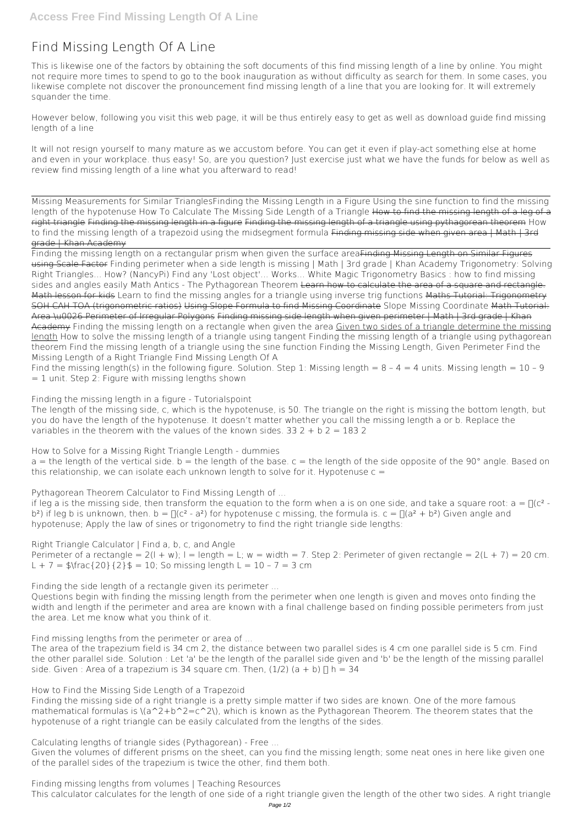# **Find Missing Length Of A Line**

This is likewise one of the factors by obtaining the soft documents of this **find missing length of a line** by online. You might not require more times to spend to go to the book inauguration as without difficulty as search for them. In some cases, you likewise complete not discover the pronouncement find missing length of a line that you are looking for. It will extremely squander the time.

However below, following you visit this web page, it will be thus entirely easy to get as well as download guide find missing length of a line

It will not resign yourself to many mature as we accustom before. You can get it even if play-act something else at home and even in your workplace. thus easy! So, are you question? Just exercise just what we have the funds for below as well as review **find missing length of a line** what you afterward to read!

Missing Measurements for Similar Triangles*Finding the Missing Length in a Figure Using the sine function to find the missing* length of the hypotenuse How To Calculate The Missing Side Length of a Triangle How to find the missing length of a leg of a right triangle Finding the missing length in a figure Finding the missing length of a triangle using pythagorean theorem *How* to find the missing length of a trapezoid using the midsegment formula Finding missing side when given area I Math I 3rd grade | Khan Academy

Finding the missing length on a rectangular prism when given the surface areaFinding Missing Length on Similar Figures using Scale Factor *Finding perimeter when a side length is missing | Math | 3rd grade | Khan Academy Trigonometry: Solving Right Triangles... How? (NancyPi) Find any 'Lost object'... Works... White Magic* **Trigonometry Basics : how to find missing sides and angles easily Math Antics - The Pythagorean Theorem** Learn how to calculate the area of a square and rectangle. Math lesson for kids *Learn to find the missing angles for a triangle using inverse trig functions* Maths Tutorial: Trigonometry SOH CAH TOA (trigonometric ratios) Using Slope Formula to find Missing Coordinate *Slope Missing Coordinate* Math Tutorial: Area \u0026 Perimeter of Irregular Polygons Finding missing side length when given perimeter | Math | 3rd grade | Khan Academy **Finding the missing length on a rectangle when given the area** Given two sides of a triangle determine the missing length How to solve the missing length of a triangle using tangent Finding the missing length of a triangle using pythagorean theorem **Find the missing length of a triangle using the sine function** *Finding the Missing Length, Given Perimeter* **Find the Missing Length of a Right Triangle Find Missing Length Of A**

Find the missing length(s) in the following figure. Solution. Step 1: Missing length =  $8 - 4 = 4$  units. Missing length =  $10 - 9$  $= 1$  unit. Step 2: Figure with missing lengths shown

The length of the missing side, c, which is the hypotenuse, is 50. The triangle on the right is missing the bottom length, but you do have the length of the hypotenuse. It doesn't matter whether you call the missing length a or b. Replace the variables in the theorem with the values of the known sides.  $33\ 2 + b\ 2 = 183\ 2$ 

**How to Solve for a Missing Right Triangle Length - dummies**  $a =$  the length of the vertical side.  $b =$  the length of the base.  $c =$  the length of the side opposite of the 90° angle. Based on this relationship, we can isolate each unknown length to solve for it. Hypotenuse  $c =$ 

if leg a is the missing side, then transform the equation to the form when a is on one side, and take a square root:  $a = \frac{\pi}{c^2}$ . b<sup>2</sup>) if leg b is unknown, then. b =  $\Gamma$ (c<sup>2</sup> - a<sup>2</sup>) for hypotenuse c missing, the formula is. c =  $\Gamma$ (a<sup>2</sup> + b<sup>2</sup>) Given angle and hypotenuse; Apply the law of sines or trigonometry to find the right triangle side lengths:

The area of the trapezium field is 34 cm 2, the distance between two parallel sides is 4 cm one parallel side is 5 cm. Find the other parallel side. Solution : Let 'a' be the length of the parallel side given and 'b' be the length of the missing parallel side. Given : Area of a trapezium is 34 square cm. Then,  $(1/2)$   $(a + b)$   $\not$  h = 34

**Finding the missing length in a figure - Tutorialspoint**

**Pythagorean Theorem Calculator to Find Missing Length of ...**

**Right Triangle Calculator | Find a, b, c, and Angle**

Perimeter of a rectangle =  $2(1 + w)$ ;  $1 =$  length = L; w = width = 7. Step 2: Perimeter of given rectangle =  $2(L + 7) = 20$  cm. L + 7 =  $\frac{1}{2}$  =  $\frac{20}{2}$  = 10; So missing length L = 10 - 7 = 3 cm

**Finding the side length of a rectangle given its perimeter ...**

Questions begin with finding the missing length from the perimeter when one length is given and moves onto finding the width and length if the perimeter and area are known with a final challenge based on finding possible perimeters from just the area. Let me know what you think of it.

**Find missing lengths from the perimeter or area of ...**

**How to Find the Missing Side Length of a Trapezoid**

Finding the missing side of a right triangle is a pretty simple matter if two sides are known. One of the more famous mathematical formulas is  $\(a^2+b^2=c^2\)$ , which is known as the Pythagorean Theorem. The theorem states that the hypotenuse of a right triangle can be easily calculated from the lengths of the sides.

**Calculating lengths of triangle sides (Pythagorean) - Free ...**

Given the volumes of different prisms on the sheet, can you find the missing length; some neat ones in here like given one of the parallel sides of the trapezium is twice the other, find them both.

**Finding missing lengths from volumes | Teaching Resources** This calculator calculates for the length of one side of a right triangle given the length of the other two sides. A right triangle